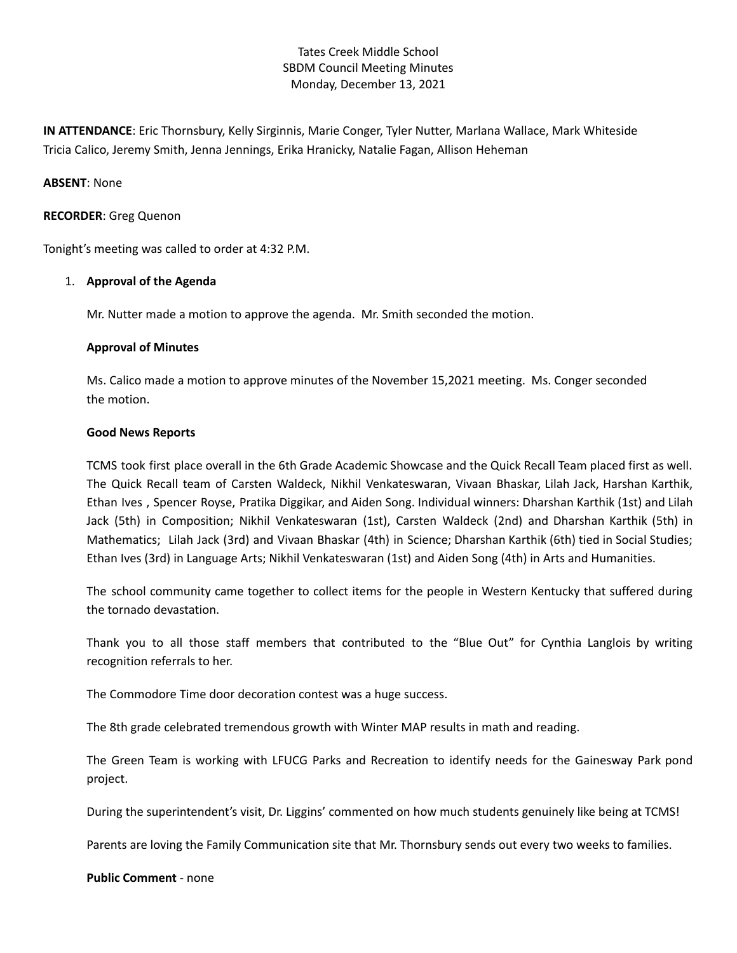# Tates Creek Middle School SBDM Council Meeting Minutes Monday, December 13, 2021

**IN ATTENDANCE**: Eric Thornsbury, Kelly Sirginnis, Marie Conger, Tyler Nutter, Marlana Wallace, Mark Whiteside Tricia Calico, Jeremy Smith, Jenna Jennings, Erika Hranicky, Natalie Fagan, Allison Heheman

## **ABSENT**: None

### **RECORDER**: Greg Quenon

Tonight's meeting was called to order at 4:32 P.M.

## 1. **Approval of the Agenda**

Mr. Nutter made a motion to approve the agenda. Mr. Smith seconded the motion.

## **Approval of Minutes**

Ms. Calico made a motion to approve minutes of the November 15,2021 meeting. Ms. Conger seconded the motion.

## **Good News Reports**

TCMS took first place overall in the 6th Grade Academic Showcase and the Quick Recall Team placed first as well. The Quick Recall team of Carsten Waldeck, Nikhil Venkateswaran, Vivaan Bhaskar, Lilah Jack, Harshan Karthik, Ethan Ives , Spencer Royse, Pratika Diggikar, and Aiden Song. Individual winners: Dharshan Karthik (1st) and Lilah Jack (5th) in Composition; Nikhil Venkateswaran (1st), Carsten Waldeck (2nd) and Dharshan Karthik (5th) in Mathematics; Lilah Jack (3rd) and Vivaan Bhaskar (4th) in Science; Dharshan Karthik (6th) tied in Social Studies; Ethan Ives (3rd) in Language Arts; Nikhil Venkateswaran (1st) and Aiden Song (4th) in Arts and Humanities.

The school community came together to collect items for the people in Western Kentucky that suffered during the tornado devastation.

Thank you to all those staff members that contributed to the "Blue Out" for Cynthia Langlois by writing recognition referrals to her.

The Commodore Time door decoration contest was a huge success.

The 8th grade celebrated tremendous growth with Winter MAP results in math and reading.

The Green Team is working with LFUCG Parks and Recreation to identify needs for the Gainesway Park pond project.

During the superintendent's visit, Dr. Liggins' commented on how much students genuinely like being at TCMS!

Parents are loving the Family Communication site that Mr. Thornsbury sends out every two weeks to families.

**Public Comment** - none